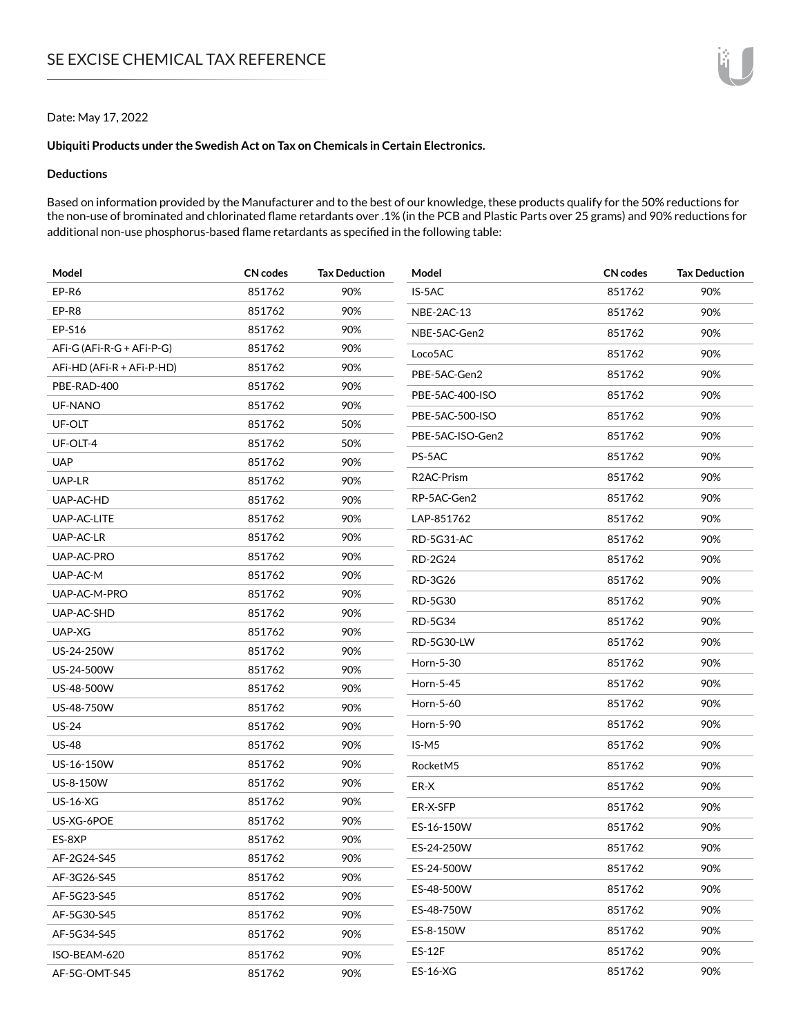### Date: May 17, 2022

### **Ubiquiti Products under the Swedish Act on Tax on Chemicals in Certain Electronics.**

## **Deductions**

Based on information provided by the Manufacturer and to the best of our knowledge, these products qualify for the 50% reductions for the non-use of brominated and chlorinated flame retardants over .1% (in the PCB and Plastic Parts over 25 grams) and 90% reductions for additional non-use phosphorus-based flame retardants as specified in the following table:

| Model                     | CN codes | <b>Tax Deduction</b> | Model                   | CN codes | <b>Tax Deduction</b> |
|---------------------------|----------|----------------------|-------------------------|----------|----------------------|
| EP-R6                     | 851762   | 90%                  | IS-5AC                  | 851762   | 90%                  |
| EP-R8                     | 851762   | 90%                  | NBE-2AC-13              | 851762   | 90%                  |
| EP-S16                    | 851762   | 90%                  | NBE-5AC-Gen2            | 851762   | 90%                  |
| AFi-G (AFi-R-G + AFi-P-G) | 851762   | 90%                  | Loco5AC                 | 851762   | 90%                  |
| AFi-HD (AFi-R + AFi-P-HD) | 851762   | 90%                  | PBE-5AC-Gen2            | 851762   | 90%                  |
| PBE-RAD-400               | 851762   | 90%                  | PBE-5AC-400-ISO         | 851762   | 90%                  |
| <b>UF-NANO</b>            | 851762   | 90%                  | PBE-5AC-500-ISO         | 851762   | 90%                  |
| UF-OLT                    | 851762   | 50%                  |                         |          |                      |
| UF-OLT-4                  | 851762   | 50%                  | PBE-5AC-ISO-Gen2        | 851762   | 90%                  |
| <b>UAP</b>                | 851762   | 90%                  | PS-5AC                  | 851762   | 90%                  |
| UAP-LR                    | 851762   | 90%                  | R <sub>2</sub> AC-Prism | 851762   | 90%                  |
| UAP-AC-HD                 | 851762   | 90%                  | RP-5AC-Gen2             | 851762   | 90%                  |
| UAP-AC-LITE               | 851762   | 90%                  | LAP-851762              | 851762   | 90%                  |
| UAP-AC-LR                 | 851762   | 90%                  | RD-5G31-AC              | 851762   | 90%                  |
| UAP-AC-PRO                | 851762   | 90%                  | <b>RD-2G24</b>          | 851762   | 90%                  |
| UAP-AC-M                  | 851762   | 90%                  | RD-3G26                 | 851762   | 90%                  |
| UAP-AC-M-PRO              | 851762   | 90%                  | RD-5G30                 | 851762   | 90%                  |
| UAP-AC-SHD                | 851762   | 90%                  | RD-5G34                 | 851762   | 90%                  |
| UAP-XG                    | 851762   | 90%                  | <b>RD-5G30-LW</b>       | 851762   | 90%                  |
| US-24-250W                | 851762   | 90%                  | Horn-5-30               | 851762   | 90%                  |
| US-24-500W                | 851762   | 90%                  |                         |          |                      |
| US-48-500W                | 851762   | 90%                  | Horn-5-45               | 851762   | 90%                  |
| US-48-750W                | 851762   | 90%                  | Horn-5-60               | 851762   | 90%                  |
| $US-24$                   | 851762   | 90%                  | Horn-5-90               | 851762   | 90%                  |
| <b>US-48</b>              | 851762   | 90%                  | IS-M5                   | 851762   | 90%                  |
| US-16-150W                | 851762   | 90%                  | RocketM5                | 851762   | 90%                  |
| US-8-150W                 | 851762   | 90%                  | ER-X                    | 851762   | 90%                  |
| <b>US-16-XG</b>           | 851762   | 90%                  | ER-X-SFP                | 851762   | 90%                  |
| US-XG-6POE                | 851762   | 90%                  | ES-16-150W              | 851762   | 90%                  |
| ES-8XP                    | 851762   | 90%                  | ES-24-250W              | 851762   | 90%                  |
| AF-2G24-S45               | 851762   | 90%                  | ES-24-500W              | 851762   | 90%                  |
| AF-3G26-S45               | 851762   | 90%                  |                         |          |                      |
| AF-5G23-S45               | 851762   | 90%                  | ES-48-500W              | 851762   | 90%                  |
| AF-5G30-S45               | 851762   | 90%                  | ES-48-750W              | 851762   | 90%                  |
| AF-5G34-S45               | 851762   | 90%                  | ES-8-150W               | 851762   | 90%                  |
| ISO-BEAM-620              | 851762   | 90%                  | <b>ES-12F</b>           | 851762   | 90%                  |
| AF-5G-OMT-S45             | 851762   | 90%                  | ES-16-XG                | 851762   | 90%                  |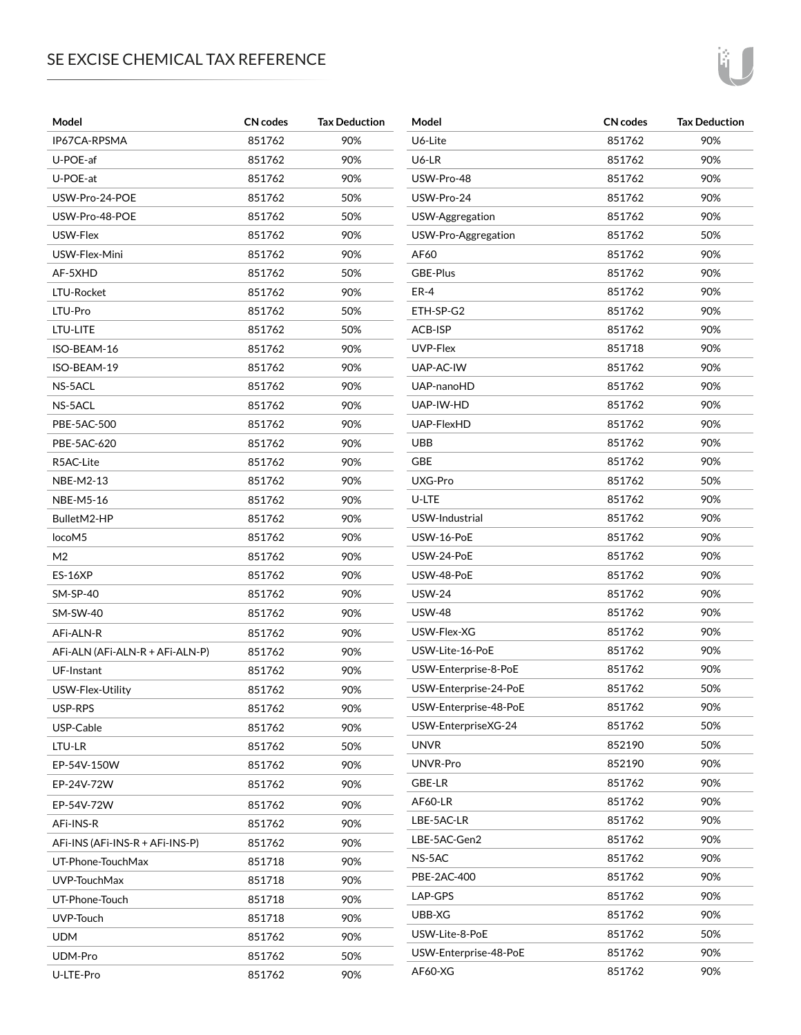## SE EXCISE CHEMICAL TAX REFERENCE

| Model                           | <b>CN</b> codes | <b>Tax Deduction</b> | Model                 | <b>CN</b> codes | <b>Tax Deduction</b> |
|---------------------------------|-----------------|----------------------|-----------------------|-----------------|----------------------|
| IP67CA-RPSMA                    | 851762          | 90%                  | U6-Lite               | 851762          | 90%                  |
| U-POE-af                        | 851762          | 90%                  | U6-LR                 | 851762          | 90%                  |
| U-POE-at                        | 851762          | 90%                  | USW-Pro-48            | 851762          | 90%                  |
| USW-Pro-24-POE                  | 851762          | 50%                  | USW-Pro-24            | 851762          | 90%                  |
| USW-Pro-48-POE                  | 851762          | 50%                  | USW-Aggregation       | 851762          | 90%                  |
| USW-Flex                        | 851762          | 90%                  | USW-Pro-Aggregation   | 851762          | 50%                  |
| USW-Flex-Mini                   | 851762          | 90%                  | AF60                  | 851762          | 90%                  |
| AF-5XHD                         | 851762          | 50%                  | GBE-Plus              | 851762          | 90%                  |
| LTU-Rocket                      | 851762          | 90%                  | ER-4                  | 851762          | 90%                  |
| LTU-Pro                         | 851762          | 50%                  | ETH-SP-G2             | 851762          | 90%                  |
| LTU-LITE                        | 851762          | 50%                  | ACB-ISP               | 851762          | 90%                  |
| ISO-BEAM-16                     | 851762          | 90%                  | UVP-Flex              | 851718          | 90%                  |
| ISO-BEAM-19                     | 851762          | 90%                  | UAP-AC-IW             | 851762          | 90%                  |
| NS-5ACL                         | 851762          | 90%                  | UAP-nanoHD            | 851762          | 90%                  |
| NS-5ACL                         | 851762          | 90%                  | UAP-IW-HD             | 851762          | 90%                  |
| PBE-5AC-500                     | 851762          | 90%                  | UAP-FlexHD            | 851762          | 90%                  |
| PBE-5AC-620                     | 851762          | 90%                  | <b>UBB</b>            | 851762          | 90%                  |
| R5AC-Lite                       | 851762          | 90%                  | <b>GBE</b>            | 851762          | 90%                  |
| NBE-M2-13                       | 851762          | 90%                  | UXG-Pro               | 851762          | 50%                  |
| <b>NBE-M5-16</b>                | 851762          | 90%                  | U-LTE                 | 851762          | 90%                  |
| BulletM2-HP                     | 851762          | 90%                  | USW-Industrial        | 851762          | 90%                  |
| locoM5                          | 851762          | 90%                  | USW-16-PoE            | 851762          | 90%                  |
| M <sub>2</sub>                  | 851762          | 90%                  | USW-24-PoE            | 851762          | 90%                  |
| <b>ES-16XP</b>                  | 851762          | 90%                  | USW-48-PoE            | 851762          | 90%                  |
| $SM-SP-40$                      | 851762          | 90%                  | <b>USW-24</b>         | 851762          | 90%                  |
| <b>SM-SW-40</b>                 | 851762          | 90%                  | <b>USW-48</b>         | 851762          | 90%                  |
| AFI-ALN-R                       | 851762          | 90%                  | USW-Flex-XG           | 851762          | 90%                  |
| AFi-ALN (AFi-ALN-R + AFi-ALN-P) | 851762          | 90%                  | USW-Lite-16-PoE       | 851762          | 90%                  |
| UF-Instant                      | 851762          | 90%                  | USW-Enterprise-8-PoE  | 851762          | 90%                  |
| USW-Flex-Utility                | 851762          | 90%                  | USW-Enterprise-24-PoE | 851762          | 50%                  |
| USP-RPS                         | 851762          | 90%                  | USW-Enterprise-48-PoE | 851762          | 90%                  |
| USP-Cable                       | 851762          | 90%                  | USW-EnterpriseXG-24   | 851762          | 50%                  |
| LTU-LR                          | 851762          | 50%                  | <b>UNVR</b>           | 852190          | 50%                  |
| EP-54V-150W                     | 851762          | 90%                  | UNVR-Pro              | 852190          | 90%                  |
| EP-24V-72W                      | 851762          | 90%                  | GBE-LR                | 851762          | 90%                  |
| EP-54V-72W                      | 851762          | 90%                  | <b>AF60-LR</b>        | 851762          | 90%                  |
| AFi-INS-R                       | 851762          | 90%                  | LBE-5AC-LR            | 851762          | 90%                  |
| AFI-INS (AFI-INS-R + AFI-INS-P) | 851762          | 90%                  | LBE-5AC-Gen2          | 851762          | 90%                  |
| UT-Phone-TouchMax               | 851718          | 90%                  | NS-5AC                | 851762          | 90%                  |
| UVP-TouchMax                    | 851718          | 90%                  | PBE-2AC-400           | 851762          | 90%                  |
| UT-Phone-Touch                  | 851718          | 90%                  | LAP-GPS               | 851762          | 90%                  |
| UVP-Touch                       | 851718          | 90%                  | UBB-XG                | 851762          | 90%                  |
| <b>UDM</b>                      | 851762          | 90%                  | USW-Lite-8-PoE        | 851762          | 50%                  |
| UDM-Pro                         | 851762          | 50%                  | USW-Enterprise-48-PoE | 851762          | 90%                  |
| U-LTE-Pro                       | 851762          | 90%                  | AF60-XG               | 851762          | 90%                  |